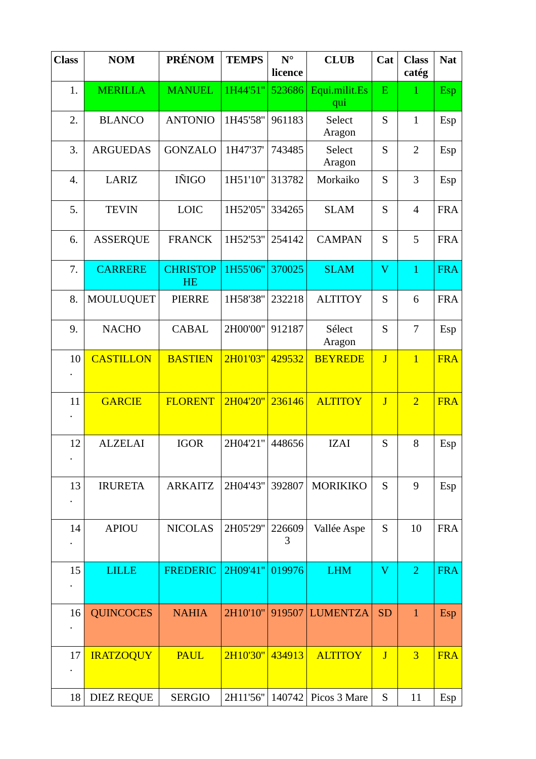| <b>Class</b> | <b>NOM</b>        | <b>PRÉNOM</b>                | <b>TEMPS</b> | $N^{\circ}$<br>licence | <b>CLUB</b>          | Cat                     | <b>Class</b><br>catég | <b>Nat</b> |
|--------------|-------------------|------------------------------|--------------|------------------------|----------------------|-------------------------|-----------------------|------------|
| 1.           | <b>MERILLA</b>    | <b>MANUEL</b>                | 1H44'51"     | 523686                 | Equi.milit.Es<br>qui | ${\bf E}$               | $\mathbf{1}$          | <b>Esp</b> |
| 2.           | <b>BLANCO</b>     | <b>ANTONIO</b>               | 1H45'58"     | 961183                 | Select<br>Aragon     | S                       | $\mathbf{1}$          | Esp        |
| 3.           | <b>ARGUEDAS</b>   | <b>GONZALO</b>               | 1H47'37'     | 743485                 | Select<br>Aragon     | S                       | $\overline{2}$        | Esp        |
| 4.           | LARIZ             | IÑIGO                        | 1H51'10"     | 313782                 | Morkaiko             | S                       | 3                     | Esp        |
| 5.           | <b>TEVIN</b>      | <b>LOIC</b>                  | 1H52'05"     | 334265                 | <b>SLAM</b>          | S                       | $\overline{4}$        | <b>FRA</b> |
| 6.           | <b>ASSERQUE</b>   | <b>FRANCK</b>                | 1H52'53"     | 254142                 | <b>CAMPAN</b>        | S                       | 5                     | <b>FRA</b> |
| 7.           | <b>CARRERE</b>    | <b>CHRISTOP</b><br><b>HE</b> | 1H55'06"     | 370025                 | <b>SLAM</b>          | $\overline{\mathsf{V}}$ | $\mathbf{1}$          | <b>FRA</b> |
| 8.           | <b>MOULUQUET</b>  | <b>PIERRE</b>                | 1H58'38"     | 232218                 | <b>ALTITOY</b>       | S                       | 6                     | <b>FRA</b> |
| 9.           | <b>NACHO</b>      | <b>CABAL</b>                 | 2H00'00"     | 912187                 | Sélect<br>Aragon     | S                       | 7                     | Esp        |
| 10           | <b>CASTILLON</b>  | <b>BASTIEN</b>               | 2H01'03"     | 429532                 | <b>BEYREDE</b>       | J                       | $\overline{1}$        | <b>FRA</b> |
| 11           | <b>GARCIE</b>     | <b>FLORENT</b>               | 2H04'20"     | 236146                 | <b>ALTITOY</b>       | J                       | $\overline{2}$        | <b>FRA</b> |
| 12           | <b>ALZELAI</b>    | <b>IGOR</b>                  | 2H04'21"     | 448656                 | <b>IZAI</b>          | S                       | 8                     | Esp        |
| 13           | <b>IRURETA</b>    | <b>ARKAITZ</b>               | 2H04'43"     | 392807                 | <b>MORIKIKO</b>      | S                       | 9                     | Esp        |
| 14           | <b>APIOU</b>      | <b>NICOLAS</b>               | 2H05'29"     | 226609<br>3            | Vallée Aspe          | S                       | 10                    | <b>FRA</b> |
| 15           | <b>LILLE</b>      | <b>FREDERIC</b>              | 2H09'41"     | 019976                 | <b>LHM</b>           | V                       | $\overline{2}$        | <b>FRA</b> |
| 16           | <b>QUINCOCES</b>  | <b>NAHIA</b>                 | 2H10'10"     | 919507                 | <b>LUMENTZA</b>      | <b>SD</b>               | $\mathbf{1}$          | Esp        |
| 17           | <b>IRATZOQUY</b>  | <b>PAUL</b>                  | 2H10'30"     | 434913                 | <b>ALTITOY</b>       | J                       | $\overline{3}$        | <b>FRA</b> |
| 18           | <b>DIEZ REQUE</b> | <b>SERGIO</b>                | 2H11'56"     | 140742                 | Picos 3 Mare         | S                       | 11                    | Esp        |